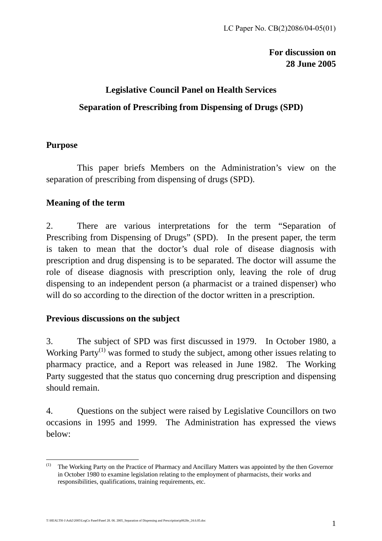### **For discussion on 28 June 2005**

## **Legislative Council Panel on Health Services Separation of Prescribing from Dispensing of Drugs (SPD)**

### **Purpose**

This paper briefs Members on the Administration's view on the separation of prescribing from dispensing of drugs (SPD).

### **Meaning of the term**

2.There are various interpretations for the term "Separation of Prescribing from Dispensing of Drugs" (SPD). In the present paper, the term is taken to mean that the doctor's dual role of disease diagnosis with prescription and drug dispensing is to be separated. The doctor will assume the role of disease diagnosis with prescription only, leaving the role of drug dispensing to an independent person (a pharmacist or a trained dispenser) who will do so according to the direction of the doctor written in a prescription.

### **Previous discussions on the subject**

3. The subject of SPD was first discussed in 1979. In October 1980, a Working Party<sup>(1)</sup> was formed to study the subject, among other issues relating to pharmacy practice, and a Report was released in June 1982. The Working Party suggested that the status quo concerning drug prescription and dispensing should remain.

4. Questions on the subject were raised by Legislative Councillors on two occasions in 1995 and 1999. The Administration has expressed the views below:

 $\overline{a}$ The Working Party on the Practice of Pharmacy and Ancillary Matters was appointed by the then Governor in October 1980 to examine legislation relating to the employment of pharmacists, their works and responsibilities, qualifications, training requirements, etc.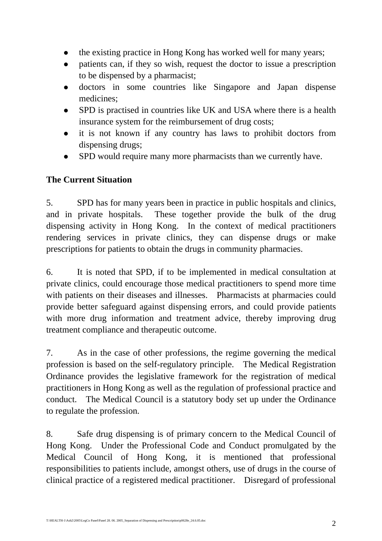- the existing practice in Hong Kong has worked well for many years;
- patients can, if they so wish, request the doctor to issue a prescription to be dispensed by a pharmacist;
- doctors in some countries like Singapore and Japan dispense medicines;
- SPD is practised in countries like UK and USA where there is a health insurance system for the reimbursement of drug costs;
- it is not known if any country has laws to prohibit doctors from dispensing drugs;
- SPD would require many more pharmacists than we currently have.

### **The Current Situation**

5. SPD has for many years been in practice in public hospitals and clinics, and in private hospitals. These together provide the bulk of the drug dispensing activity in Hong Kong. In the context of medical practitioners rendering services in private clinics, they can dispense drugs or make prescriptions for patients to obtain the drugs in community pharmacies.

6. It is noted that SPD, if to be implemented in medical consultation at private clinics, could encourage those medical practitioners to spend more time with patients on their diseases and illnesses. Pharmacists at pharmacies could provide better safeguard against dispensing errors, and could provide patients with more drug information and treatment advice, thereby improving drug treatment compliance and therapeutic outcome.

7. As in the case of other professions, the regime governing the medical profession is based on the self-regulatory principle. The Medical Registration Ordinance provides the legislative framework for the registration of medical practitioners in Hong Kong as well as the regulation of professional practice and conduct. The Medical Council is a statutory body set up under the Ordinance to regulate the profession.

8. Safe drug dispensing is of primary concern to the Medical Council of Hong Kong. Under the Professional Code and Conduct promulgated by the Medical Council of Hong Kong, it is mentioned that professional responsibilities to patients include, amongst others, use of drugs in the course of clinical practice of a registered medical practitioner. Disregard of professional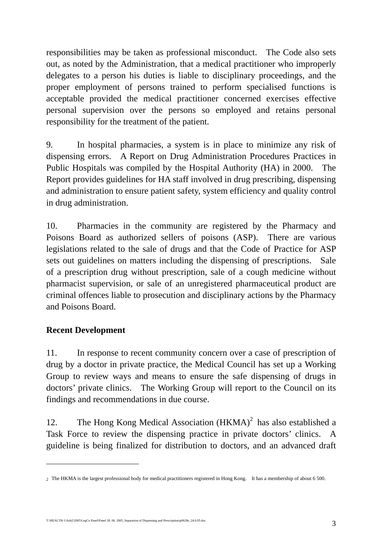responsibilities may be taken as professional misconduct. The Code also sets out, as noted by the Administration, that a medical practitioner who improperly delegates to a person his duties is liable to disciplinary proceedings, and the proper employment of persons trained to perform specialised functions is acceptable provided the medical practitioner concerned exercises effective personal supervision over the persons so employed and retains personal responsibility for the treatment of the patient.

9. In hospital pharmacies, a system is in place to minimize any risk of dispensing errors. A Report on Drug Administration Procedures Practices in Public Hospitals was compiled by the Hospital Authority (HA) in 2000. The Report provides guidelines for HA staff involved in drug prescribing, dispensing and administration to ensure patient safety, system efficiency and quality control in drug administration.

10. Pharmacies in the community are registered by the Pharmacy and Poisons Board as authorized sellers of poisons (ASP). There are various legislations related to the sale of drugs and that the Code of Practice for ASP sets out guidelines on matters including the dispensing of prescriptions. Sale of a prescription drug without prescription, sale of a cough medicine without pharmacist supervision, or sale of an unregistered pharmaceutical product are criminal offences liable to prosecution and disciplinary actions by the Pharmacy and Poisons Board.

### **Recent Development**

 $\overline{a}$ 

11. In response to recent community concern over a case of prescription of drug by a doctor in private practice, the Medical Council has set up a Working Group to review ways and means to ensure the safe dispensing of drugs in doctors' private clinics. The Working Group will report to the Council on its findings and recommendations in due course.

12. The Hong Kong Medical Association  $(HKMA)^2$  has also established a Task Force to review the dispensing practice in private doctors' clinics. A guideline is being finalized for distribution to doctors, and an advanced draft

T:\HEALTH-1\Ash2\2005\LegCo Panel\Panel 28. 06. 2005\_Separation of Dispensing and Prescription\p0628e\_24.6.05.doc 3

<sup>2</sup> The HKMA is the largest professional body for medical practitioners registered in Hong Kong. It has a membership of about 6 500.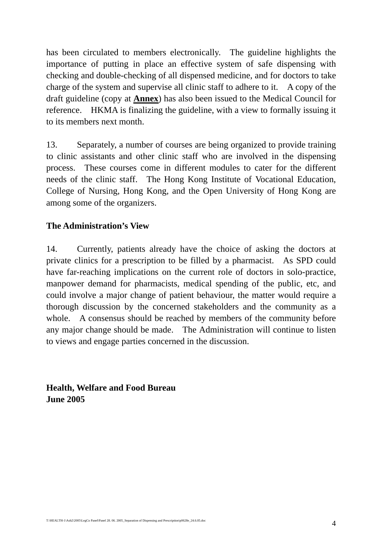has been circulated to members electronically. The guideline highlights the importance of putting in place an effective system of safe dispensing with checking and double-checking of all dispensed medicine, and for doctors to take charge of the system and supervise all clinic staff to adhere to it. A copy of the draft guideline (copy at **Annex**) has also been issued to the Medical Council for reference. HKMA is finalizing the guideline, with a view to formally issuing it to its members next month.

13. Separately, a number of courses are being organized to provide training to clinic assistants and other clinic staff who are involved in the dispensing process. These courses come in different modules to cater for the different needs of the clinic staff. The Hong Kong Institute of Vocational Education, College of Nursing, Hong Kong, and the Open University of Hong Kong are among some of the organizers.

### **The Administration's View**

14. Currently, patients already have the choice of asking the doctors at private clinics for a prescription to be filled by a pharmacist. As SPD could have far-reaching implications on the current role of doctors in solo-practice, manpower demand for pharmacists, medical spending of the public, etc, and could involve a major change of patient behaviour, the matter would require a thorough discussion by the concerned stakeholders and the community as a whole. A consensus should be reached by members of the community before any major change should be made. The Administration will continue to listen to views and engage parties concerned in the discussion.

**Health, Welfare and Food Bureau June 2005**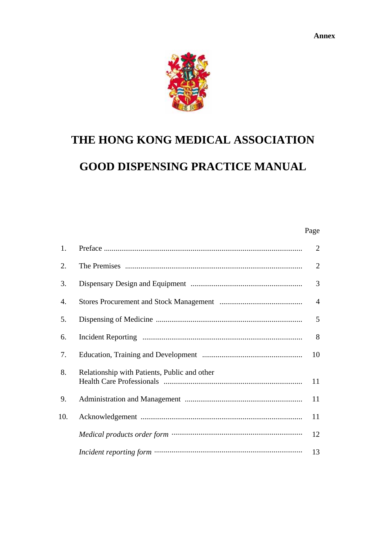

# **THE HONG KONG MEDICAL ASSOCIATION GOOD DISPENSING PRACTICE MANUAL**

#### Page **Page**

| 1.  |                                              | $\overline{2}$ |
|-----|----------------------------------------------|----------------|
| 2.  |                                              | $\overline{2}$ |
| 3.  |                                              | 3              |
| 4.  |                                              | $\overline{4}$ |
| 5.  |                                              | 5              |
| 6.  |                                              | 8              |
| 7.  |                                              | 10             |
| 8.  | Relationship with Patients, Public and other | 11             |
| 9.  |                                              | 11             |
| 10. |                                              | 11             |
|     |                                              | 12             |
|     |                                              | 13             |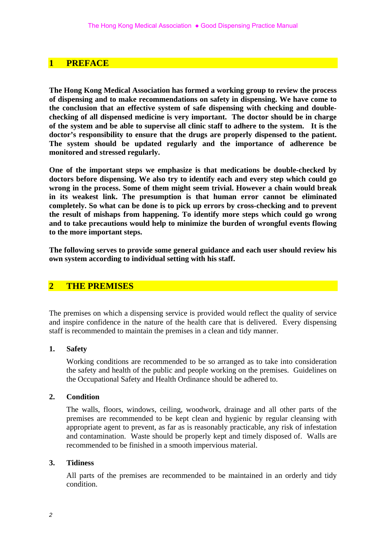#### **1 PREFACE**

**The Hong Kong Medical Association has formed a working group to review the process of dispensing and to make recommendations on safety in dispensing. We have come to the conclusion that an effective system of safe dispensing with checking and doublechecking of all dispensed medicine is very important. The doctor should be in charge of the system and be able to supervise all clinic staff to adhere to the system. It is the doctor's responsibility to ensure that the drugs are properly dispensed to the patient. The system should be updated regularly and the importance of adherence be monitored and stressed regularly.** 

**One of the important steps we emphasize is that medications be double-checked by doctors before dispensing. We also try to identify each and every step which could go wrong in the process. Some of them might seem trivial. However a chain would break in its weakest link. The presumption is that human error cannot be eliminated completely. So what can be done is to pick up errors by cross-checking and to prevent the result of mishaps from happening. To identify more steps which could go wrong and to take precautions would help to minimize the burden of wrongful events flowing to the more important steps.** 

**The following serves to provide some general guidance and each user should review his own system according to individual setting with his staff.** 

#### **2 THE PREMISES**

The premises on which a dispensing service is provided would reflect the quality of service and inspire confidence in the nature of the health care that is delivered. Every dispensing staff is recommended to maintain the premises in a clean and tidy manner.

#### **1. Safety**

 Working conditions are recommended to be so arranged as to take into consideration the safety and health of the public and people working on the premises. Guidelines on the Occupational Safety and Health Ordinance should be adhered to.

#### **2. Condition**

 The walls, floors, windows, ceiling, woodwork, drainage and all other parts of the premises are recommended to be kept clean and hygienic by regular cleansing with appropriate agent to prevent, as far as is reasonably practicable, any risk of infestation and contamination. Waste should be properly kept and timely disposed of. Walls are recommended to be finished in a smooth impervious material.

#### **3. Tidiness**

 All parts of the premises are recommended to be maintained in an orderly and tidy condition.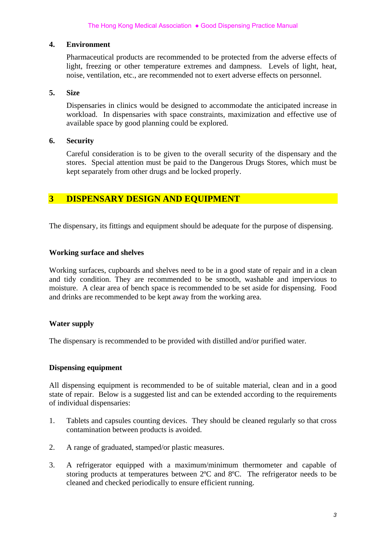#### **4. Environment**

 Pharmaceutical products are recommended to be protected from the adverse effects of light, freezing or other temperature extremes and dampness. Levels of light, heat, noise, ventilation, etc., are recommended not to exert adverse effects on personnel.

#### **5. Size**

 Dispensaries in clinics would be designed to accommodate the anticipated increase in workload. In dispensaries with space constraints, maximization and effective use of available space by good planning could be explored.

#### **6. Security**

 Careful consideration is to be given to the overall security of the dispensary and the stores. Special attention must be paid to the Dangerous Drugs Stores, which must be kept separately from other drugs and be locked properly.

### **3 DISPENSARY DESIGN AND EQUIPMENT**

The dispensary, its fittings and equipment should be adequate for the purpose of dispensing.

#### **Working surface and shelves**

Working surfaces, cupboards and shelves need to be in a good state of repair and in a clean and tidy condition. They are recommended to be smooth, washable and impervious to moisture. A clear area of bench space is recommended to be set aside for dispensing. Food and drinks are recommended to be kept away from the working area.

#### **Water supply**

The dispensary is recommended to be provided with distilled and/or purified water.

#### **Dispensing equipment**

All dispensing equipment is recommended to be of suitable material, clean and in a good state of repair. Below is a suggested list and can be extended according to the requirements of individual dispensaries:

- 1. Tablets and capsules counting devices. They should be cleaned regularly so that cross contamination between products is avoided.
- 2. A range of graduated, stamped/or plastic measures.
- 3. A refrigerator equipped with a maximum/minimum thermometer and capable of storing products at temperatures between 2ºC and 8ºC. The refrigerator needs to be cleaned and checked periodically to ensure efficient running.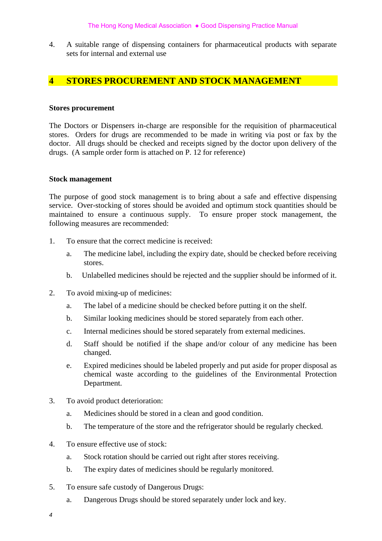4. A suitable range of dispensing containers for pharmaceutical products with separate sets for internal and external use

#### **4 STORES PROCUREMENT AND STOCK MANAGEMENT**

#### **Stores procurement**

The Doctors or Dispensers in-charge are responsible for the requisition of pharmaceutical stores. Orders for drugs are recommended to be made in writing via post or fax by the doctor. All drugs should be checked and receipts signed by the doctor upon delivery of the drugs. (A sample order form is attached on P. 12 for reference)

#### **Stock management**

The purpose of good stock management is to bring about a safe and effective dispensing service. Over-stocking of stores should be avoided and optimum stock quantities should be maintained to ensure a continuous supply. To ensure proper stock management, the following measures are recommended:

- 1. To ensure that the correct medicine is received:
	- a. The medicine label, including the expiry date, should be checked before receiving stores.
	- b. Unlabelled medicines should be rejected and the supplier should be informed of it.
- 2. To avoid mixing-up of medicines:
	- a. The label of a medicine should be checked before putting it on the shelf.
	- b. Similar looking medicines should be stored separately from each other.
	- c. Internal medicines should be stored separately from external medicines.
	- d. Staff should be notified if the shape and/or colour of any medicine has been changed.
	- e. Expired medicines should be labeled properly and put aside for proper disposal as chemical waste according to the guidelines of the Environmental Protection Department.
- 3. To avoid product deterioration:
	- a. Medicines should be stored in a clean and good condition.
	- b. The temperature of the store and the refrigerator should be regularly checked.
- 4. To ensure effective use of stock:
	- a. Stock rotation should be carried out right after stores receiving.
	- b. The expiry dates of medicines should be regularly monitored.
- 5. To ensure safe custody of Dangerous Drugs:
	- a. Dangerous Drugs should be stored separately under lock and key.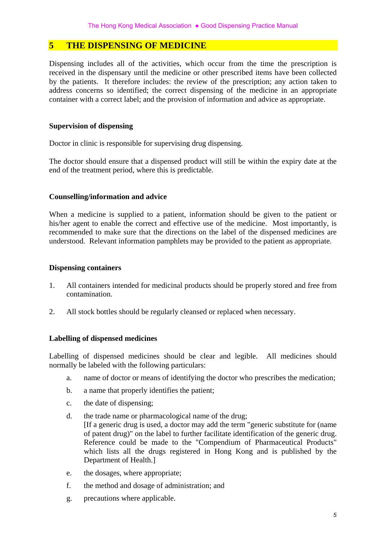#### **5 THE DISPENSING OF MEDICINE**

Dispensing includes all of the activities, which occur from the time the prescription is received in the dispensary until the medicine or other prescribed items have been collected by the patients. It therefore includes: the review of the prescription; any action taken to address concerns so identified; the correct dispensing of the medicine in an appropriate container with a correct label; and the provision of information and advice as appropriate.

#### **Supervision of dispensing**

Doctor in clinic is responsible for supervising drug dispensing.

The doctor should ensure that a dispensed product will still be within the expiry date at the end of the treatment period, where this is predictable.

#### **Counselling/information and advice**

When a medicine is supplied to a patient, information should be given to the patient or his/her agent to enable the correct and effective use of the medicine. Most importantly, is recommended to make sure that the directions on the label of the dispensed medicines are understood. Relevant information pamphlets may be provided to the patient as appropriate.

#### **Dispensing containers**

- 1. All containers intended for medicinal products should be properly stored and free from contamination.
- 2. All stock bottles should be regularly cleansed or replaced when necessary.

#### **Labelling of dispensed medicines**

Labelling of dispensed medicines should be clear and legible. All medicines should normally be labeled with the following particulars:

- a. name of doctor or means of identifying the doctor who prescribes the medication;
- b. a name that properly identifies the patient;
- c. the date of dispensing;
- d. the trade name or pharmacological name of the drug; [If a generic drug is used, a doctor may add the term "generic substitute for (name of patent drug)" on the label to further facilitate identification of the generic drug. Reference could be made to the "Compendium of Pharmaceutical Products" which lists all the drugs registered in Hong Kong and is published by the Department of Health.]
- e. the dosages, where appropriate;
- f. the method and dosage of administration; and
- g. precautions where applicable.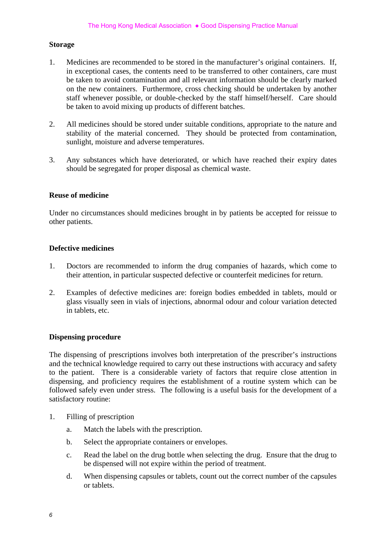#### **Storage**

- 1. Medicines are recommended to be stored in the manufacturer's original containers. If, in exceptional cases, the contents need to be transferred to other containers, care must be taken to avoid contamination and all relevant information should be clearly marked on the new containers. Furthermore, cross checking should be undertaken by another staff whenever possible, or double-checked by the staff himself/herself. Care should be taken to avoid mixing up products of different batches.
- 2. All medicines should be stored under suitable conditions, appropriate to the nature and stability of the material concerned. They should be protected from contamination, sunlight, moisture and adverse temperatures.
- 3. Any substances which have deteriorated, or which have reached their expiry dates should be segregated for proper disposal as chemical waste.

#### **Reuse of medicine**

Under no circumstances should medicines brought in by patients be accepted for reissue to other patients.

#### **Defective medicines**

- 1. Doctors are recommended to inform the drug companies of hazards, which come to their attention, in particular suspected defective or counterfeit medicines for return.
- 2. Examples of defective medicines are: foreign bodies embedded in tablets, mould or glass visually seen in vials of injections, abnormal odour and colour variation detected in tablets, etc.

#### **Dispensing procedure**

The dispensing of prescriptions involves both interpretation of the prescriber's instructions and the technical knowledge required to carry out these instructions with accuracy and safety to the patient. There is a considerable variety of factors that require close attention in dispensing, and proficiency requires the establishment of a routine system which can be followed safely even under stress. The following is a useful basis for the development of a satisfactory routine:

- 1. Filling of prescription
	- a. Match the labels with the prescription.
	- b. Select the appropriate containers or envelopes.
	- c. Read the label on the drug bottle when selecting the drug. Ensure that the drug to be dispensed will not expire within the period of treatment.
	- d. When dispensing capsules or tablets, count out the correct number of the capsules or tablets.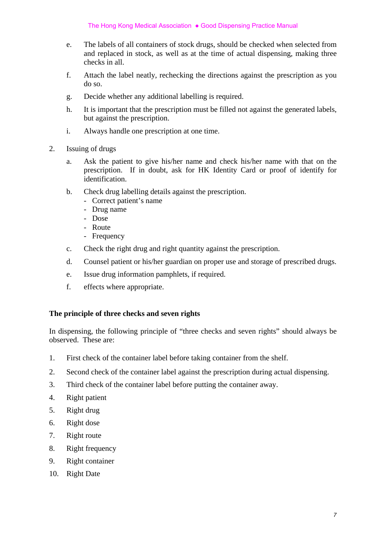- e. The labels of all containers of stock drugs, should be checked when selected from and replaced in stock, as well as at the time of actual dispensing, making three checks in all.
- f. Attach the label neatly, rechecking the directions against the prescription as you do so.
- g. Decide whether any additional labelling is required.
- h. It is important that the prescription must be filled not against the generated labels, but against the prescription.
- i. Always handle one prescription at one time.
- 2. Issuing of drugs
	- a. Ask the patient to give his/her name and check his/her name with that on the prescription. If in doubt, ask for HK Identity Card or proof of identify for identification.
	- b. Check drug labelling details against the prescription.
		- Correct patient's name
		- Drug name
		- Dose
		- Route
		- Frequency
	- c. Check the right drug and right quantity against the prescription.
	- d. Counsel patient or his/her guardian on proper use and storage of prescribed drugs.
	- e. Issue drug information pamphlets, if required.
	- f. effects where appropriate.

#### **The principle of three checks and seven rights**

In dispensing, the following principle of "three checks and seven rights" should always be observed. These are:

- 1. First check of the container label before taking container from the shelf.
- 2. Second check of the container label against the prescription during actual dispensing.
- 3. Third check of the container label before putting the container away.
- 4. Right patient
- 5. Right drug
- 6. Right dose
- 7. Right route
- 8. Right frequency
- 9. Right container
- 10. Right Date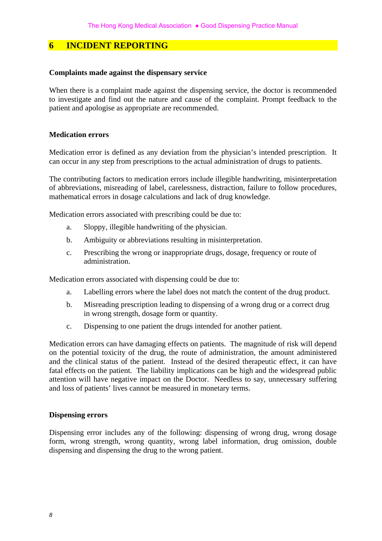#### **6 INCIDENT REPORTING**

#### **Complaints made against the dispensary service**

When there is a complaint made against the dispensing service, the doctor is recommended to investigate and find out the nature and cause of the complaint. Prompt feedback to the patient and apologise as appropriate are recommended.

#### **Medication errors**

Medication error is defined as any deviation from the physician's intended prescription. It can occur in any step from prescriptions to the actual administration of drugs to patients.

The contributing factors to medication errors include illegible handwriting, misinterpretation of abbreviations, misreading of label, carelessness, distraction, failure to follow procedures, mathematical errors in dosage calculations and lack of drug knowledge.

Medication errors associated with prescribing could be due to:

- a. Sloppy, illegible handwriting of the physician.
- b. Ambiguity or abbreviations resulting in misinterpretation.
- c. Prescribing the wrong or inappropriate drugs, dosage, frequency or route of administration.

Medication errors associated with dispensing could be due to:

- a. Labelling errors where the label does not match the content of the drug product.
- b. Misreading prescription leading to dispensing of a wrong drug or a correct drug in wrong strength, dosage form or quantity.
- c. Dispensing to one patient the drugs intended for another patient.

Medication errors can have damaging effects on patients. The magnitude of risk will depend on the potential toxicity of the drug, the route of administration, the amount administered and the clinical status of the patient. Instead of the desired therapeutic effect, it can have fatal effects on the patient. The liability implications can be high and the widespread public attention will have negative impact on the Doctor. Needless to say, unnecessary suffering and loss of patients' lives cannot be measured in monetary terms.

#### **Dispensing errors**

Dispensing error includes any of the following: dispensing of wrong drug, wrong dosage form, wrong strength, wrong quantity, wrong label information, drug omission, double dispensing and dispensing the drug to the wrong patient.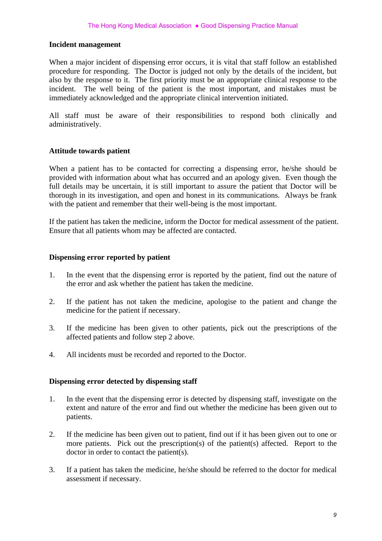#### **Incident management**

When a major incident of dispensing error occurs, it is vital that staff follow an established procedure for responding. The Doctor is judged not only by the details of the incident, but also by the response to it. The first priority must be an appropriate clinical response to the incident. The well being of the patient is the most important, and mistakes must be immediately acknowledged and the appropriate clinical intervention initiated.

All staff must be aware of their responsibilities to respond both clinically and administratively.

#### **Attitude towards patient**

When a patient has to be contacted for correcting a dispensing error, he/she should be provided with information about what has occurred and an apology given. Even though the full details may be uncertain, it is still important to assure the patient that Doctor will be thorough in its investigation, and open and honest in its communications. Always be frank with the patient and remember that their well-being is the most important.

If the patient has taken the medicine, inform the Doctor for medical assessment of the patient. Ensure that all patients whom may be affected are contacted.

#### **Dispensing error reported by patient**

- 1. In the event that the dispensing error is reported by the patient, find out the nature of the error and ask whether the patient has taken the medicine.
- 2. If the patient has not taken the medicine, apologise to the patient and change the medicine for the patient if necessary.
- 3. If the medicine has been given to other patients, pick out the prescriptions of the affected patients and follow step 2 above.
- 4. All incidents must be recorded and reported to the Doctor.

#### **Dispensing error detected by dispensing staff**

- 1. In the event that the dispensing error is detected by dispensing staff, investigate on the extent and nature of the error and find out whether the medicine has been given out to patients.
- 2. If the medicine has been given out to patient, find out if it has been given out to one or more patients. Pick out the prescription(s) of the patient(s) affected. Report to the doctor in order to contact the patient(s).
- 3. If a patient has taken the medicine, he/she should be referred to the doctor for medical assessment if necessary.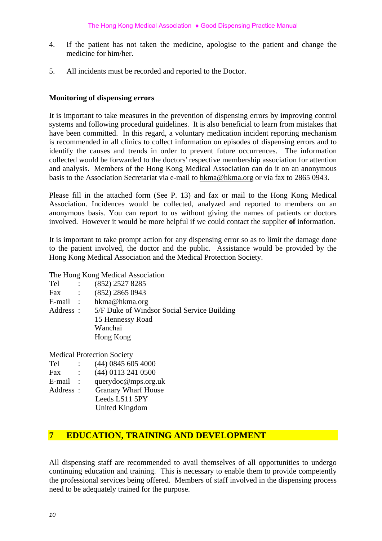- 4. If the patient has not taken the medicine, apologise to the patient and change the medicine for him/her.
- 5. All incidents must be recorded and reported to the Doctor.

#### **Monitoring of dispensing errors**

It is important to take measures in the prevention of dispensing errors by improving control systems and following procedural guidelines. It is also beneficial to learn from mistakes that have been committed. In this regard, a voluntary medication incident reporting mechanism is recommended in all clinics to collect information on episodes of dispensing errors and to identify the causes and trends in order to prevent future occurrences. The information collected would be forwarded to the doctors' respective membership association for attention and analysis. Members of the Hong Kong Medical Association can do it on an anonymous basis to the Association Secretariat via e-mail to hkma@hkma.org or via fax to 2865 0943.

Please fill in the attached form (See P. 13) and fax or mail to the Hong Kong Medical Association. Incidences would be collected, analyzed and reported to members on an anonymous basis. You can report to us without giving the names of patients or doctors involved. However it would be more helpful if we could contact the supplier **of** information.

It is important to take prompt action for any dispensing error so as to limit the damage done to the patient involved, the doctor and the public. Assistance would be provided by the Hong Kong Medical Association and the Medical Protection Society.

#### The Hong Kong Medical Association

| Tel       |                        | (852) 2527 8285                             |
|-----------|------------------------|---------------------------------------------|
| Fax       | $\mathbb{R}^{\bullet}$ | $(852)$ 2865 0943                           |
| E-mail :  |                        | hkma@hkma.org                               |
| Address : |                        | 5/F Duke of Windsor Social Service Building |
|           |                        | 15 Hennessy Road                            |
|           |                        | Wanchai                                     |
|           |                        | Hong Kong                                   |
|           |                        |                                             |

Medical Protection Society

- Tel : (44) 0845 605 4000
- Fax : (44) 0113 241 0500
- E-mail : querydoc@mps.org.uk
- Address : Granary Wharf House Leeds LS11 5PY
	- United Kingdom

### **7 EDUCATION, TRAINING AND DEVELOPMENT**

All dispensing staff are recommended to avail themselves of all opportunities to undergo continuing education and training. This is necessary to enable them to provide competently the professional services being offered. Members of staff involved in the dispensing process need to be adequately trained for the purpose.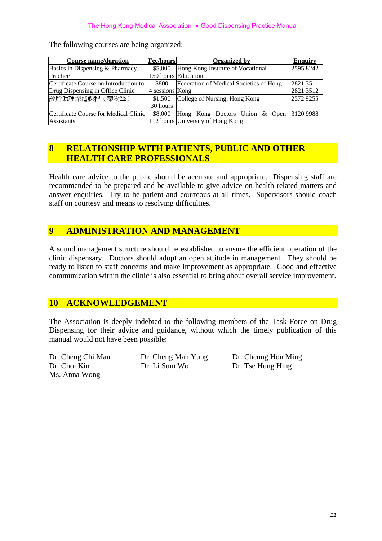| <b>Course name/duration</b>           | <b>Fee/hours</b> | <b>Organized by</b>                     | <b>Enquiry</b> |
|---------------------------------------|------------------|-----------------------------------------|----------------|
| Basics in Dispensing & Pharmacy       | \$5,000          | Hong Kong Institute of Vocational       | 2595 8242      |
| Practice                              |                  | 150 hours Education                     |                |
| Certificate Course on Introduction to | \$800            | Federation of Medical Societies of Hong | 2821 3511      |
| Drug Dispensing in Office Clinic      | 4 sessions Kong  |                                         | 2821 3512      |
| 診所助理深造課程 (藥物學)                        | \$1,500          | College of Nursing, Hong Kong           | 25729255       |
|                                       | 30 hours         |                                         |                |
| Certificate Course for Medical Clinic | \$8,000          | Hong Kong Doctors Union & Open          | 3120 9988      |
| <b>Assistants</b>                     |                  | 112 hours University of Hong Kong       |                |

The following courses are being organized:

#### **8 RELATIONSHIP WITH PATIENTS, PUBLIC AND OTHER HEALTH CARE PROFESSIONALS**

Health care advice to the public should be accurate and appropriate. Dispensing staff are recommended to be prepared and be available to give advice on health related matters and answer enquiries. Try to be patient and courteous at all times. Supervisors should coach staff on courtesy and means to resolving difficulties.

### **9 ADMINISTRATION AND MANAGEMENT**

A sound management structure should be established to ensure the efficient operation of the clinic dispensary. Doctors should adopt an open attitude in management. They should be ready to listen to staff concerns and make improvement as appropriate. Good and effective communication within the clinic is also essential to bring about overall service improvement.

#### **10 ACKNOWLEDGEMENT**

The Association is deeply indebted to the following members of the Task Force on Drug Dispensing for their advice and guidance, without which the timely publication of this manual would not have been possible:

Ms. Anna Wong

Dr. Choi Kin Dr. Li Sum Wo Dr. Tse Hung Hing

Dr. Cheng Chi Man Dr. Cheng Man Yung Dr. Cheung Hon Ming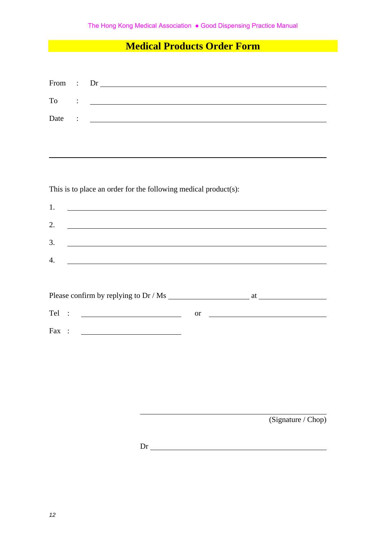### **Medical Products Order Form**

| From  | $\ddot{\cdot}$ |                                                                 |                                                                                                                        |
|-------|----------------|-----------------------------------------------------------------|------------------------------------------------------------------------------------------------------------------------|
| To    |                |                                                                 |                                                                                                                        |
| Date  | $\ddot{\cdot}$ | <u> 2008 - Johann Amerikaanse kommunister († 2008)</u>          |                                                                                                                        |
|       |                |                                                                 |                                                                                                                        |
|       |                |                                                                 |                                                                                                                        |
|       |                |                                                                 |                                                                                                                        |
|       |                |                                                                 |                                                                                                                        |
|       |                | This is to place an order for the following medical product(s): |                                                                                                                        |
| 1.    |                |                                                                 |                                                                                                                        |
| 2.    |                |                                                                 |                                                                                                                        |
| 3.    |                | <u> 1989 - Johann Stoff, amerikansk politiker (* 1908)</u>      |                                                                                                                        |
| 4.    |                | <u> 1980 - Johann Barbara, martxa eta idazlea (h. 1980).</u>    |                                                                                                                        |
|       |                |                                                                 |                                                                                                                        |
|       |                |                                                                 |                                                                                                                        |
| Tel : |                | <b>or</b>                                                       | <u> 1989 - Johann Stoff, deutscher Stoffen und der Stoffen und der Stoffen und der Stoffen und der Stoffen und der</u> |
| Fax : |                | <u> 1990 - Johann Barbara, martin a</u>                         |                                                                                                                        |
|       |                |                                                                 |                                                                                                                        |
|       |                |                                                                 |                                                                                                                        |
|       |                |                                                                 |                                                                                                                        |
|       |                |                                                                 |                                                                                                                        |
|       |                |                                                                 |                                                                                                                        |
|       |                |                                                                 | (Signature / Chop)                                                                                                     |
|       |                |                                                                 |                                                                                                                        |

Dr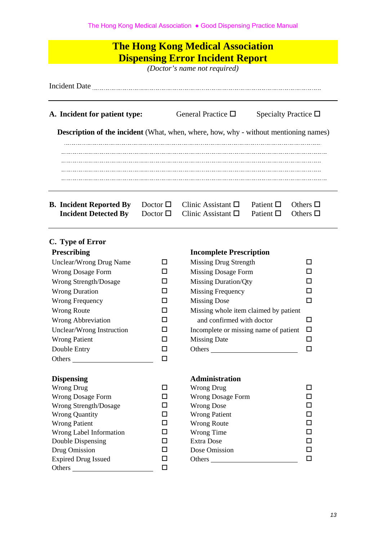| <b>The Hong Kong Medical Association</b><br><b>Dispensing Error Incident Report</b><br>(Doctor's name not required) |                                      |                                                          |                                        |                                |  |  |  |
|---------------------------------------------------------------------------------------------------------------------|--------------------------------------|----------------------------------------------------------|----------------------------------------|--------------------------------|--|--|--|
|                                                                                                                     |                                      |                                                          |                                        |                                |  |  |  |
| A. Incident for patient type:                                                                                       |                                      | General Practice $\Box$                                  |                                        | Specialty Practice $\Box$      |  |  |  |
| <b>Description of the incident</b> (What, when, where, how, why - without mentioning names)                         |                                      |                                                          |                                        |                                |  |  |  |
|                                                                                                                     |                                      |                                                          |                                        |                                |  |  |  |
|                                                                                                                     |                                      |                                                          |                                        |                                |  |  |  |
| <b>B.</b> Incident Reported By<br><b>Incident Detected By</b>                                                       | Doctor $\square$<br>Doctor $\square$ | Clinic Assistant $\square$<br>Clinic Assistant $\square$ | Patient $\square$<br>Patient $\square$ | Others $\Box$<br>Others $\Box$ |  |  |  |
| C. Type of Error                                                                                                    |                                      |                                                          |                                        |                                |  |  |  |
| Prescribing                                                                                                         |                                      | <b>Incomplete Prescription</b>                           |                                        |                                |  |  |  |
| Unclear/Wrong Drug Name                                                                                             | □                                    | <b>Missing Drug Strength</b>                             |                                        | □                              |  |  |  |
| <b>Wrong Dosage Form</b>                                                                                            | ப                                    | <b>Missing Dosage Form</b>                               |                                        | □                              |  |  |  |
| Wrong Strength/Dosage                                                                                               | ப                                    | <b>Missing Duration/Qty</b>                              |                                        | □                              |  |  |  |
| <b>Wrong Duration</b>                                                                                               | □                                    | <b>Missing Frequency</b>                                 |                                        | □                              |  |  |  |
| Wrong Frequency                                                                                                     | □                                    | <b>Missing Dose</b>                                      |                                        | □                              |  |  |  |
| <b>Wrong Route</b>                                                                                                  | ΙI                                   | Missing whole item claimed by patient                    |                                        |                                |  |  |  |
| <b>Wrong Abbreviation</b>                                                                                           | ப                                    | and confirmed with doctor                                |                                        | □                              |  |  |  |
| Unclear/Wrong Instruction                                                                                           | ΙI                                   | Incomplete or missing name of patient                    |                                        | $\Box$                         |  |  |  |
| <b>Missing Date</b><br><b>Wrong Patient</b><br>□<br>□                                                               |                                      |                                                          |                                        |                                |  |  |  |
| Double Entry                                                                                                        | □                                    | Others                                                   |                                        | □                              |  |  |  |
| Others                                                                                                              | □                                    |                                                          |                                        |                                |  |  |  |

| <b>Wrong Drug</b>            |        | Wrong Drug               |   |
|------------------------------|--------|--------------------------|---|
| <b>Wrong Dosage Form</b>     | $\Box$ | <b>Wrong Dosage Form</b> |   |
| <b>Wrong Strength/Dosage</b> | □      | <b>Wrong Dose</b>        | □ |
| <b>Wrong Quantity</b>        | □      | <b>Wrong Patient</b>     | □ |
| <b>Wrong Patient</b>         | □      | <b>Wrong Route</b>       | □ |
| Wrong Label Information      | ப      | Wrong Time               | ◻ |
| Double Dispensing            | □      | Extra Dose               | ◻ |
| Drug Omission                | □      | Dose Omission            | □ |
| <b>Expired Drug Issued</b>   | $\Box$ | Others                   |   |
| Others                       | П      |                          |   |
|                              |        |                          |   |

### **Dispensing Administration**

| <b>Wrong Drug</b>              |   | Wrong Drug               |   |
|--------------------------------|---|--------------------------|---|
| <b>Wrong Dosage Form</b>       | ப | <b>Wrong Dosage Form</b> |   |
| Wrong Strength/Dosage          |   | <b>Wrong Dose</b>        | □ |
| <b>Wrong Quantity</b>          | □ | <b>Wrong Patient</b>     |   |
| <b>Wrong Patient</b>           | □ | <b>Wrong Route</b>       |   |
| <b>Wrong Label Information</b> | ப | Wrong Time               |   |
| Double Dispensing              | □ | <b>Extra Dose</b>        |   |
| Drug Omission                  | □ | Dose Omission            | □ |
| <b>Expired Drug Issued</b>     |   | Others                   | П |
|                                |   |                          |   |